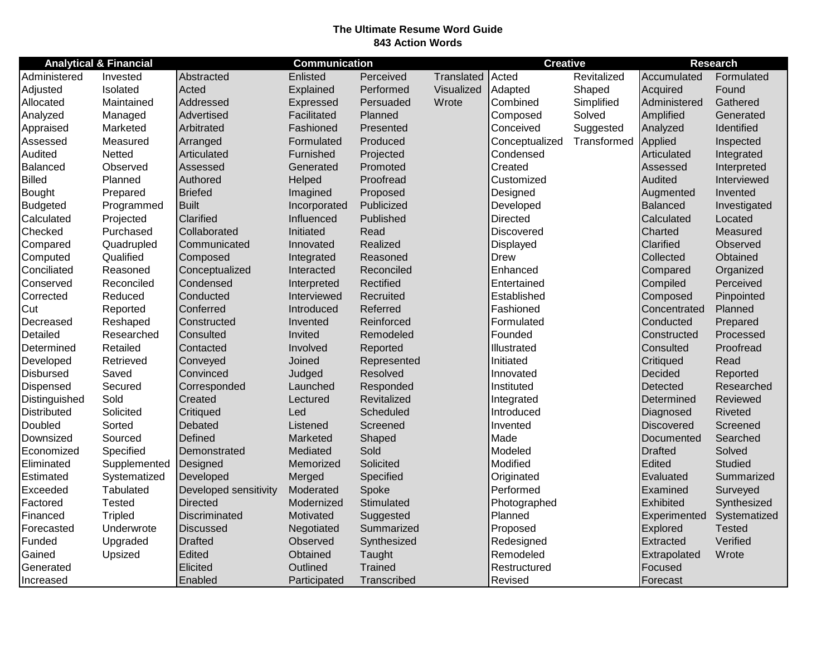## **The Ultimate Resume Word Guide 843 Action Words**

| <b>Analytical &amp; Financial</b> |                |                       | <b>Communication</b> |             |            | <b>Creative</b>   |             | <b>Research</b>   |                |
|-----------------------------------|----------------|-----------------------|----------------------|-------------|------------|-------------------|-------------|-------------------|----------------|
| Administered                      | Invested       | Abstracted            | Enlisted             | Perceived   | Translated | Acted             | Revitalized | Accumulated       | Formulated     |
| Adjusted                          | Isolated       | Acted                 | Explained            | Performed   | Visualized | Adapted           | Shaped      | Acquired          | Found          |
| Allocated                         | Maintained     | Addressed             | Expressed            | Persuaded   | Wrote      | Combined          | Simplified  | Administered      | Gathered       |
| Analyzed                          | Managed        | Advertised            | Facilitated          | Planned     |            | Composed          | Solved      | Amplified         | Generated      |
| Appraised                         | Marketed       | Arbitrated            | Fashioned            | Presented   |            | Conceived         | Suggested   | Analyzed          | Identified     |
| Assessed                          | Measured       | Arranged              | Formulated           | Produced    |            | Conceptualized    | Transformed | Applied           | Inspected      |
| Audited                           | Netted         | Articulated           | Furnished            | Projected   |            | Condensed         |             | Articulated       | Integrated     |
| Balanced                          | Observed       | Assessed              | Generated            | Promoted    |            | Created           |             | Assessed          | Interpreted    |
| <b>Billed</b>                     | Planned        | Authored              | Helped               | Proofread   |            | Customized        |             | Audited           | Interviewed    |
| Bought                            | Prepared       | <b>Briefed</b>        | Imagined             | Proposed    |            | Designed          |             | Augmented         | Invented       |
| <b>Budgeted</b>                   | Programmed     | <b>Built</b>          | Incorporated         | Publicized  |            | Developed         |             | <b>Balanced</b>   | Investigated   |
| Calculated                        | Projected      | Clarified             | Influenced           | Published   |            | <b>Directed</b>   |             | Calculated        | Located        |
| Checked                           | Purchased      | Collaborated          | Initiated            | Read        |            | <b>Discovered</b> |             | Charted           | Measured       |
| Compared                          | Quadrupled     | Communicated          | Innovated            | Realized    |            | Displayed         |             | Clarified         | Observed       |
| Computed                          | Qualified      | Composed              | Integrated           | Reasoned    |            | <b>Drew</b>       |             | Collected         | Obtained       |
| Conciliated                       | Reasoned       | Conceptualized        | Interacted           | Reconciled  |            | Enhanced          |             | Compared          | Organized      |
| Conserved                         | Reconciled     | Condensed             | Interpreted          | Rectified   |            | Entertained       |             | Compiled          | Perceived      |
| Corrected                         | Reduced        | Conducted             | Interviewed          | Recruited   |            | Established       |             | Composed          | Pinpointed     |
| Cut                               | Reported       | Conferred             | Introduced           | Referred    |            | Fashioned         |             | Concentrated      | Planned        |
| Decreased                         | Reshaped       | Constructed           | Invented             | Reinforced  |            | Formulated        |             | Conducted         | Prepared       |
| Detailed                          | Researched     | Consulted             | Invited              | Remodeled   |            | Founded           |             | Constructed       | Processed      |
| Determined                        | Retailed       | Contacted             | Involved             | Reported    |            | Illustrated       |             | Consulted         | Proofread      |
| Developed                         | Retrieved      | Conveyed              | Joined               | Represented |            | Initiated         |             | Critiqued         | Read           |
| <b>Disbursed</b>                  | Saved          | Convinced             | Judged               | Resolved    |            | Innovated         |             | Decided           | Reported       |
| Dispensed                         | Secured        | Corresponded          | Launched             | Responded   |            | Instituted        |             | Detected          | Researched     |
| Distinguished                     | Sold           | Created               | Lectured             | Revitalized |            | Integrated        |             | Determined        | Reviewed       |
| <b>Distributed</b>                | Solicited      | Critiqued             | Led                  | Scheduled   |            | Introduced        |             | Diagnosed         | <b>Riveted</b> |
| Doubled                           | Sorted         | Debated               | Listened             | Screened    |            | Invented          |             | <b>Discovered</b> | Screened       |
| Downsized                         | Sourced        | Defined               | Marketed             | Shaped      |            | Made              |             | Documented        | Searched       |
| Economized                        | Specified      | Demonstrated          | Mediated             | Sold        |            | Modeled           |             | <b>Drafted</b>    | Solved         |
| Eliminated                        | Supplemented   | Designed              | Memorized            | Solicited   |            | Modified          |             | Edited            | <b>Studied</b> |
| Estimated                         | Systematized   | Developed             | Merged               | Specified   |            | Originated        |             | Evaluated         | Summarized     |
| Exceeded                          | Tabulated      | Developed sensitivity | Moderated            | Spoke       |            | Performed         |             | Examined          | Surveyed       |
| Factored                          | <b>Tested</b>  | <b>Directed</b>       | Modernized           | Stimulated  |            | Photographed      |             | Exhibited         | Synthesized    |
| Financed                          | <b>Tripled</b> | <b>Discriminated</b>  | Motivated            | Suggested   |            | Planned           |             | Experimented      | Systematized   |
| Forecasted                        | Underwrote     | <b>Discussed</b>      | Negotiated           | Summarized  |            | Proposed          |             | Explored          | <b>Tested</b>  |
| Funded                            | Upgraded       | <b>Drafted</b>        | Observed             | Synthesized |            | Redesigned        |             | Extracted         | Verified       |
| Gained                            | Upsized        | Edited                | Obtained             | Taught      |            | Remodeled         |             | Extrapolated      | Wrote          |
| Generated                         |                | Elicited              | Outlined             | Trained     |            | Restructured      |             | Focused           |                |
| Increased                         |                | Enabled               | Participated         | Transcribed |            | Revised           |             | Forecast          |                |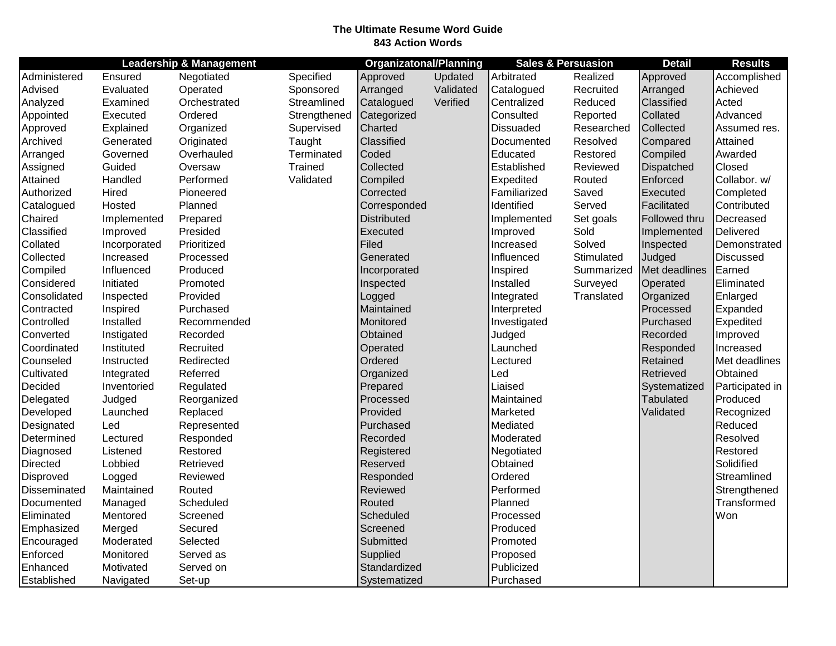## **The Ultimate Resume Word Guide 843 Action Words**

|              |              | <b>Leadership &amp; Management</b> |              | <b>Organizatonal/Planning</b> |           | <b>Sales &amp; Persuasion</b> |            | <b>Detail</b>    | <b>Results</b>   |
|--------------|--------------|------------------------------------|--------------|-------------------------------|-----------|-------------------------------|------------|------------------|------------------|
| Administered | Ensured      | Negotiated                         | Specified    | Approved                      | Updated   | Arbitrated                    | Realized   | Approved         | Accomplished     |
| Advised      | Evaluated    | Operated                           | Sponsored    | Arranged                      | Validated | Catalogued                    | Recruited  | Arranged         | Achieved         |
| Analyzed     | Examined     | Orchestrated                       | Streamlined  | Catalogued                    | Verified  | Centralized                   | Reduced    | Classified       | Acted            |
| Appointed    | Executed     | Ordered                            | Strengthened | Categorized                   |           | Consulted                     | Reported   | Collated         | Advanced         |
| Approved     | Explained    | Organized                          | Supervised   | Charted                       |           | <b>Dissuaded</b>              | Researched | Collected        | Assumed res.     |
| Archived     | Generated    | Originated                         | Taught       | Classified                    |           | Documented                    | Resolved   | Compared         | Attained         |
| Arranged     | Governed     | Overhauled                         | Terminated   | Coded                         |           | Educated                      | Restored   | Compiled         | Awarded          |
| Assigned     | Guided       | Oversaw                            | Trained      | Collected                     |           | Established                   | Reviewed   | Dispatched       | Closed           |
| Attained     | Handled      | Performed                          | Validated    | Compiled                      |           | Expedited                     | Routed     | Enforced         | Collabor. w/     |
| Authorized   | Hired        | Pioneered                          |              | Corrected                     |           | Familiarized                  | Saved      | Executed         | Completed        |
| Catalogued   | Hosted       | Planned                            |              | Corresponded                  |           | Identified                    | Served     | Facilitated      | Contributed      |
| Chaired      | Implemented  | Prepared                           |              | <b>Distributed</b>            |           | Implemented                   | Set goals  | Followed thru    | Decreased        |
| Classified   | Improved     | Presided                           |              | Executed                      |           | Improved                      | Sold       | Implemented      | Delivered        |
| Collated     | Incorporated | Prioritized                        |              | Filed                         |           | Increased                     | Solved     | Inspected        | Demonstrated     |
| Collected    | Increased    | Processed                          |              | Generated                     |           | Influenced                    | Stimulated | Judged           | <b>Discussed</b> |
| Compiled     | Influenced   | Produced                           |              | Incorporated                  |           | Inspired                      | Summarized | Met deadlines    | Earned           |
| Considered   | Initiated    | Promoted                           |              | Inspected                     |           | Installed                     | Surveyed   | Operated         | Eliminated       |
| Consolidated | Inspected    | Provided                           |              | Logged                        |           | Integrated                    | Translated | Organized        | Enlarged         |
| Contracted   | Inspired     | Purchased                          |              | Maintained                    |           | Interpreted                   |            | Processed        | Expanded         |
| Controlled   | Installed    | Recommended                        |              | Monitored                     |           | Investigated                  |            | Purchased        | Expedited        |
| Converted    | Instigated   | Recorded                           |              | Obtained                      |           | Judged                        |            | Recorded         | Improved         |
| Coordinated  | Instituted   | Recruited                          |              | Operated                      |           | Launched                      |            | Responded        | Increased        |
| Counseled    | Instructed   | Redirected                         |              | Ordered                       |           | Lectured                      |            | Retained         | Met deadlines    |
| Cultivated   | Integrated   | Referred                           |              | Organized                     |           | Led                           |            | Retrieved        | Obtained         |
| Decided      | Inventoried  | Regulated                          |              | Prepared                      |           | Liaised                       |            | Systematized     | Participated in  |
| Delegated    | Judged       | Reorganized                        |              | Processed                     |           | Maintained                    |            | <b>Tabulated</b> | Produced         |
| Developed    | Launched     | Replaced                           |              | Provided                      |           | Marketed                      |            | Validated        | Recognized       |
| Designated   | Led          | Represented                        |              | Purchased                     |           | Mediated                      |            |                  | Reduced          |
| Determined   | Lectured     | Responded                          |              | Recorded                      |           | Moderated                     |            |                  | Resolved         |
| Diagnosed    | Listened     | Restored                           |              | Registered                    |           | Negotiated                    |            |                  | Restored         |
| Directed     | Lobbied      | Retrieved                          |              | Reserved                      |           | Obtained                      |            |                  | Solidified       |
| Disproved    | Logged       | Reviewed                           |              | Responded                     |           | Ordered                       |            |                  | Streamlined      |
| Disseminated | Maintained   | Routed                             |              | Reviewed                      |           | Performed                     |            |                  | Strengthened     |
| Documented   | Managed      | Scheduled                          |              | Routed                        |           | Planned                       |            |                  | Transformed      |
| Eliminated   | Mentored     | Screened                           |              | Scheduled                     |           | Processed                     |            |                  | Won              |
| Emphasized   | Merged       | Secured                            |              | Screened                      |           | Produced                      |            |                  |                  |
| Encouraged   | Moderated    | Selected                           |              | Submitted                     |           | Promoted                      |            |                  |                  |
| Enforced     | Monitored    | Served as                          |              | Supplied                      |           | Proposed                      |            |                  |                  |
| Enhanced     | Motivated    | Served on                          |              | Standardized                  |           | Publicized                    |            |                  |                  |
| Established  | Navigated    | Set-up                             |              | Systematized                  |           | Purchased                     |            |                  |                  |